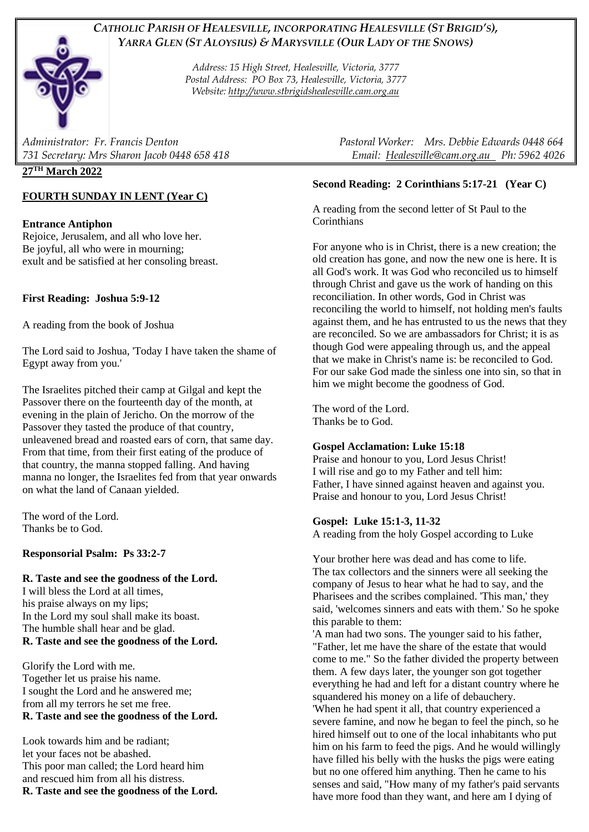# *CATHOLIC PARISH OF HEALESVILLE, INCORPORATING HEALESVILLE (ST BRIGID'S), YARRA GLEN (ST ALOYSIUS) & MARYSVILLE (OUR LADY OF THE SNOWS)*

*Address: 15 High Street, Healesville, Victoria, 3777 Postal Address: PO Box 73, Healesville, Victoria, 3777 Website: [http://www.stbrigidshealesville.cam.org.au](http://www.stbrigidshealesville.cam.org.au/)*

# **27TH March 2022**

# **FOURTH SUNDAY IN LENT (Year C)**

## **Entrance Antiphon**

Rejoice, Jerusalem, and all who love her. Be joyful, all who were in mourning; exult and be satisfied at her consoling breast.

# **First Reading: Joshua 5:9-12**

A reading from the book of Joshua

The Lord said to Joshua, 'Today I have taken the shame of Egypt away from you.'

The Israelites pitched their camp at Gilgal and kept the Passover there on the fourteenth day of the month, at evening in the plain of Jericho. On the morrow of the Passover they tasted the produce of that country, unleavened bread and roasted ears of corn, that same day. From that time, from their first eating of the produce of that country, the manna stopped falling. And having manna no longer, the Israelites fed from that year onwards on what the land of Canaan yielded.

The word of the Lord. Thanks be to God.

### **Responsorial Psalm: Ps 33:2-7**

### **R. Taste and see the goodness of the Lord.**

I will bless the Lord at all times, his praise always on my lips; In the Lord my soul shall make its boast. The humble shall hear and be glad. **R. Taste and see the goodness of the Lord.**

Glorify the Lord with me. Together let us praise his name. I sought the Lord and he answered me; from all my terrors he set me free. **R. Taste and see the goodness of the Lord.**

Look towards him and be radiant; let your faces not be abashed. This poor man called; the Lord heard him and rescued him from all his distress. **R. Taste and see the goodness of the Lord.**

*Administrator: Fr. Francis Denton Pastoral Worker: Mrs. Debbie Edwards 0448 664 731 Secretary: Mrs Sharon Jacob 0448 658 418 Email: [Healesville@cam.org.au](mailto:Healesville@cam.org.au) Ph: 5962 4026* 

## **Second Reading: 2 Corinthians 5:17-21 (Year C)**

A reading from the second letter of St Paul to the Corinthians

For anyone who is in Christ, there is a new creation; the old creation has gone, and now the new one is here. It is all God's work. It was God who reconciled us to himself through Christ and gave us the work of handing on this reconciliation. In other words, God in Christ was reconciling the world to himself, not holding men's faults against them, and he has entrusted to us the news that they are reconciled. So we are ambassadors for Christ; it is as though God were appealing through us, and the appeal that we make in Christ's name is: be reconciled to God. For our sake God made the sinless one into sin, so that in him we might become the goodness of God.

The word of the Lord. Thanks be to God.

### **Gospel Acclamation: Luke 15:18**

Praise and honour to you, Lord Jesus Christ! I will rise and go to my Father and tell him: Father, I have sinned against heaven and against you. Praise and honour to you, Lord Jesus Christ!

# **Gospel: Luke 15:1-3, 11-32**

A reading from the holy Gospel according to Luke

Your brother here was dead and has come to life. The tax collectors and the sinners were all seeking the company of Jesus to hear what he had to say, and the Pharisees and the scribes complained. 'This man,' they said, 'welcomes sinners and eats with them.' So he spoke this parable to them:

'A man had two sons. The younger said to his father, "Father, let me have the share of the estate that would come to me." So the father divided the property between them. A few days later, the younger son got together everything he had and left for a distant country where he squandered his money on a life of debauchery. 'When he had spent it all, that country experienced a severe famine, and now he began to feel the pinch, so he hired himself out to one of the local inhabitants who put him on his farm to feed the pigs. And he would willingly have filled his belly with the husks the pigs were eating but no one offered him anything. Then he came to his senses and said, "How many of my father's paid servants have more food than they want, and here am I dying of

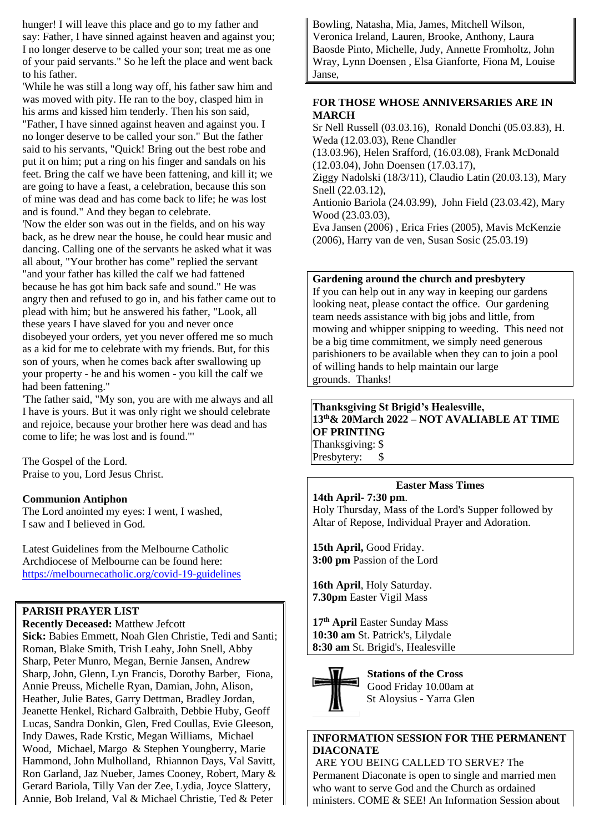hunger! I will leave this place and go to my father and say: Father, I have sinned against heaven and against you; I no longer deserve to be called your son; treat me as one of your paid servants." So he left the place and went back to his father.

'While he was still a long way off, his father saw him and was moved with pity. He ran to the boy, clasped him in his arms and kissed him tenderly. Then his son said, "Father, I have sinned against heaven and against you. I no longer deserve to be called your son." But the father said to his servants, "Quick! Bring out the best robe and put it on him; put a ring on his finger and sandals on his feet. Bring the calf we have been fattening, and kill it; we are going to have a feast, a celebration, because this son of mine was dead and has come back to life; he was lost and is found." And they began to celebrate.

'Now the elder son was out in the fields, and on his way back, as he drew near the house, he could hear music and dancing. Calling one of the servants he asked what it was all about, "Your brother has come" replied the servant "and your father has killed the calf we had fattened because he has got him back safe and sound." He was angry then and refused to go in, and his father came out to plead with him; but he answered his father, "Look, all these years I have slaved for you and never once disobeyed your orders, yet you never offered me so much as a kid for me to celebrate with my friends. But, for this son of yours, when he comes back after swallowing up your property - he and his women - you kill the calf we had been fattening."

'The father said, "My son, you are with me always and all I have is yours. But it was only right we should celebrate and rejoice, because your brother here was dead and has come to life; he was lost and is found."'

The Gospel of the Lord. Praise to you, Lord Jesus Christ.

#### **Communion Antiphon**

The Lord anointed my eyes: I went, I washed, I saw and I believed in God.

Latest Guidelines from the Melbourne Catholic Archdiocese of Melbourne can be found here: <https://melbournecatholic.org/covid-19-guidelines>

### **PARISH PRAYER LIST**

**Recently Deceased:** Matthew Jefcott **Sick:** Babies Emmett, Noah Glen Christie, Tedi and Santi; Roman, Blake Smith, Trish Leahy, John Snell, Abby Sharp, Peter Munro, Megan, Bernie Jansen, Andrew Sharp, John, Glenn, Lyn Francis, Dorothy Barber, Fiona, Annie Preuss, Michelle Ryan, Damian, John, Alison, Heather, Julie Bates, Garry Dettman, Bradley Jordan, Jeanette Henkel, Richard Galbraith, Debbie Huby, Geoff Lucas, Sandra Donkin, Glen, Fred Coullas, Evie Gleeson, Indy Dawes, Rade Krstic, Megan Williams, Michael Wood, Michael, Margo & Stephen Youngberry, Marie Hammond, John Mulholland, Rhiannon Days, Val Savitt, Ron Garland, Jaz Nueber, James Cooney, Robert, Mary & Gerard Bariola, Tilly Van der Zee, Lydia, Joyce Slattery, Annie, Bob Ireland, Val & Michael Christie, Ted & Peter

Bowling, Natasha, Mia, James, Mitchell Wilson, Veronica Ireland, Lauren, Brooke, Anthony, Laura Baosde Pinto, Michelle, Judy, Annette Fromholtz, John Wray, Lynn Doensen , Elsa Gianforte, Fiona M, Louise Janse,

## **FOR THOSE WHOSE ANNIVERSARIES ARE IN MARCH**

Sr Nell Russell (03.03.16), Ronald Donchi (05.03.83), H. Weda (12.03.03), Rene Chandler

(13.03.96), Helen Srafford, (16.03.08), Frank McDonald (12.03.04), John Doensen (17.03.17),

Ziggy Nadolski (18/3/11), Claudio Latin (20.03.13), Mary Snell (22.03.12),

Antionio Bariola (24.03.99), John Field (23.03.42), Mary Wood (23.03.03),

Eva Jansen (2006) , Erica Fries (2005), Mavis McKenzie (2006), Harry van de ven, Susan Sosic (25.03.19)

## **Gardening around the church and presbytery**

If you can help out in any way in keeping our gardens looking neat, please contact the office. Our gardening team needs assistance with big jobs and little, from mowing and whipper snipping to weeding. This need not be a big time commitment, we simply need generous parishioners to be available when they can to join a pool of willing hands to help maintain our large grounds. Thanks!

# **Thanksgiving St Brigid's Healesville, 13th& 20March 2022 – NOT AVALIABLE AT TIME OF PRINTING** Thanksgiving: \$

Presbytery: \$

### **Easter Mass Times**

**14th April- 7:30 pm**.

Holy Thursday, Mass of the Lord's Supper followed by Altar of Repose, Individual Prayer and Adoration.

**15th April,** Good Friday. **3:00 pm** Passion of the Lord

**16th April**, Holy Saturday. **7.30pm** Easter Vigil Mass

**17th April** Easter Sunday Mass **10:30 am** St. Patrick's, Lilydale **8:30 am** St. Brigid's, Healesville



**Stations of the Cross** Good Friday 10.00am at St Aloysius - Yarra Glen

### **INFORMATION SESSION FOR THE PERMANENT DIACONATE**

ARE YOU BEING CALLED TO SERVE? The Permanent Diaconate is open to single and married men who want to serve God and the Church as ordained ministers. COME & SEE! An Information Session about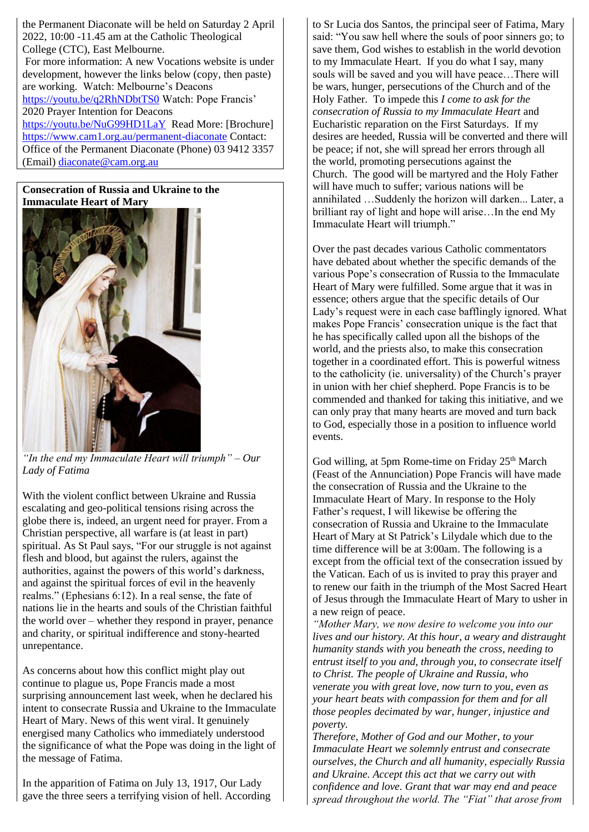the Permanent Diaconate will be held on Saturday 2 April 2022, 10:00 -11.45 am at the Catholic Theological College (CTC), East Melbourne. For more information: A new Vocations website is under development, however the links below (copy, then paste) are working. Watch: Melbourne's Deacons <https://youtu.be/q2RhNDbtTS0> Watch: Pope Francis' 2020 Prayer Intention for Deacons <https://youtu.be/NuG99HD1LaY>Read More: [Brochure] <https://www.cam1.org.au/permanent-diaconate> Contact: Office of the Permanent Diaconate (Phone) 03 9412 3357 (Email) [diaconate@cam.org.au](mailto:diaconate@cam.org.au)

**Consecration of Russia and Ukraine to the Immaculate Heart of Mary**



*"In the end my Immaculate Heart will triumph" – Our Lady of Fatima*

With the violent conflict between Ukraine and Russia escalating and geo-political tensions rising across the globe there is, indeed, an urgent need for prayer. From a Christian perspective, all warfare is (at least in part) spiritual. As St Paul says, "For our struggle is not against flesh and blood, but against the rulers, against the authorities, against the powers of this world's darkness, and against the spiritual forces of evil in the heavenly realms." (Ephesians 6:12). In a real sense, the fate of nations lie in the hearts and souls of the Christian faithful the world over – whether they respond in prayer, penance and charity, or spiritual indifference and stony-hearted unrepentance.

As concerns about how this conflict might play out continue to plague us, Pope Francis made a most surprising announcement last week, when he declared his intent to consecrate Russia and Ukraine to the Immaculate Heart of Mary. News of this went viral. It genuinely energised many Catholics who immediately understood the significance of what the Pope was doing in the light of the message of Fatima.

In the apparition of Fatima on July 13, 1917, Our Lady gave the three seers a terrifying vision of hell. According to Sr Lucia dos Santos, the principal seer of Fatima, Mary said: "You saw hell where the souls of poor sinners go; to save them, God wishes to establish in the world devotion to my Immaculate Heart. If you do what I say, many souls will be saved and you will have peace…There will be wars, hunger, persecutions of the Church and of the Holy Father. To impede this *I come to ask for the consecration of Russia to my Immaculate Heart* and Eucharistic reparation on the First Saturdays. If my desires are heeded, Russia will be converted and there will be peace; if not, she will spread her errors through all the world, promoting persecutions against the Church. The good will be martyred and the Holy Father will have much to suffer; various nations will be annihilated …Suddenly the horizon will darken... Later, a brilliant ray of light and hope will arise…In the end My Immaculate Heart will triumph."

Over the past decades various Catholic commentators have debated about whether the specific demands of the various Pope's consecration of Russia to the Immaculate Heart of Mary were fulfilled. Some argue that it was in essence; others argue that the specific details of Our Lady's request were in each case bafflingly ignored. What makes Pope Francis' consecration unique is the fact that he has specifically called upon all the bishops of the world, and the priests also, to make this consecration together in a coordinated effort. This is powerful witness to the catholicity (ie. universality) of the Church's prayer in union with her chief shepherd. Pope Francis is to be commended and thanked for taking this initiative, and we can only pray that many hearts are moved and turn back to God, especially those in a position to influence world events.

God willing, at 5pm Rome-time on Friday  $25<sup>th</sup> March$ (Feast of the Annunciation) Pope Francis will have made the consecration of Russia and the Ukraine to the Immaculate Heart of Mary. In response to the Holy Father's request, I will likewise be offering the consecration of Russia and Ukraine to the Immaculate Heart of Mary at St Patrick's Lilydale which due to the time difference will be at 3:00am. The following is a except from the official text of the consecration issued by the Vatican. Each of us is invited to pray this prayer and to renew our faith in the triumph of the Most Sacred Heart of Jesus through the Immaculate Heart of Mary to usher in a new reign of peace.

*"Mother Mary, we now desire to welcome you into our lives and our history. At this hour, a weary and distraught humanity stands with you beneath the cross, needing to entrust itself to you and, through you, to consecrate itself to Christ. The people of Ukraine and Russia, who venerate you with great love, now turn to you, even as your heart beats with compassion for them and for all those peoples decimated by war, hunger, injustice and poverty.*

*Therefore, Mother of God and our Mother, to your Immaculate Heart we solemnly entrust and consecrate ourselves, the Church and all humanity, especially Russia and Ukraine. Accept this act that we carry out with confidence and love. Grant that war may end and peace spread throughout the world. The "Fiat" that arose from*